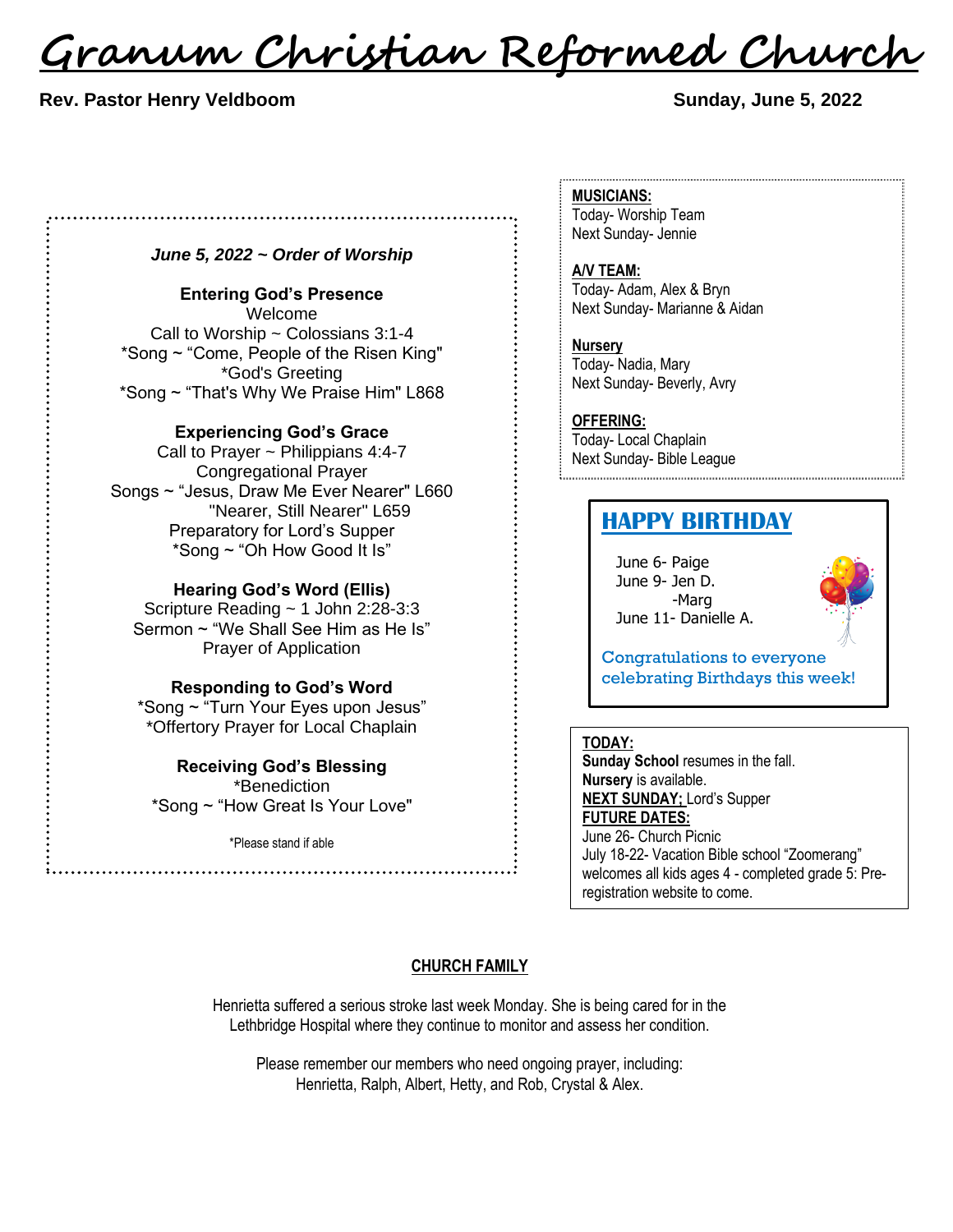<u>Granum Christian Reformed Church</u>

#### **Rev. Pastor Henry Veldboom Sunday, June 5, 2022**

### *June 5, 2022 ~ Order of Worship*

................................

#### **Entering God's Presence**

Welcome Call to Worship  $\sim$  Colossians 3:1-4 \*Song ~ "Come, People of the Risen King" \*God's Greeting \*Song ~ "That's Why We Praise Him" L868

#### **Experiencing God's Grace**

Call to Prayer ~ Philippians 4:4-7 Congregational Prayer Songs ~ "Jesus, Draw Me Ever Nearer" L660 "Nearer, Still Nearer" L659 Preparatory for Lord's Supper \*Song ~ "Oh How Good It Is"

## **Hearing God's Word (Ellis)**

Scripture Reading ~ 1 John 2:28-3:3 Sermon ~ "We Shall See Him as He Is" Prayer of Application

#### **Responding to God's Word**

\*Song ~ "Turn Your Eyes upon Jesus" \*Offertory Prayer for Local Chaplain

**Receiving God's Blessing** \*Benediction \*Song ~ "How Great Is Your Love"

\*Please stand if able

#### **MUSICIANS:**

Today- Worship Team Next Sunday- Jennie

#### **A/V TEAM:**

Today- Adam, Alex & Bryn Next Sunday- Marianne & Aidan

**Nursery** Today- Nadia, Mary

Next Sunday- Beverly, Avry

#### **OFFERING:**

Today- Local Chaplain Next Sunday- Bible League

# **HAPPY BIRTHDAY**

June 6- Paige June 9- Jen D. -Marg June 11- Danielle A.



Congratulations to everyone celebrating Birthdays this week!

#### **TODAY:**

**Sunday School** resumes in the fall. **Nursery** is available. **NEXT SUNDAY;** Lord's Supper **FUTURE DATES:** June 26- Church Picnic July 18-22- Vacation Bible school "Zoomerang" welcomes all kids ages 4 - completed grade 5: Preregistration website to come.

#### **CHURCH FAMILY**

Henrietta suffered a serious stroke last week Monday. She is being cared for in the Lethbridge Hospital where they continue to monitor and assess her condition.

Please remember our members who need ongoing prayer, including: Henrietta, Ralph, Albert, Hetty, and Rob, Crystal & Alex.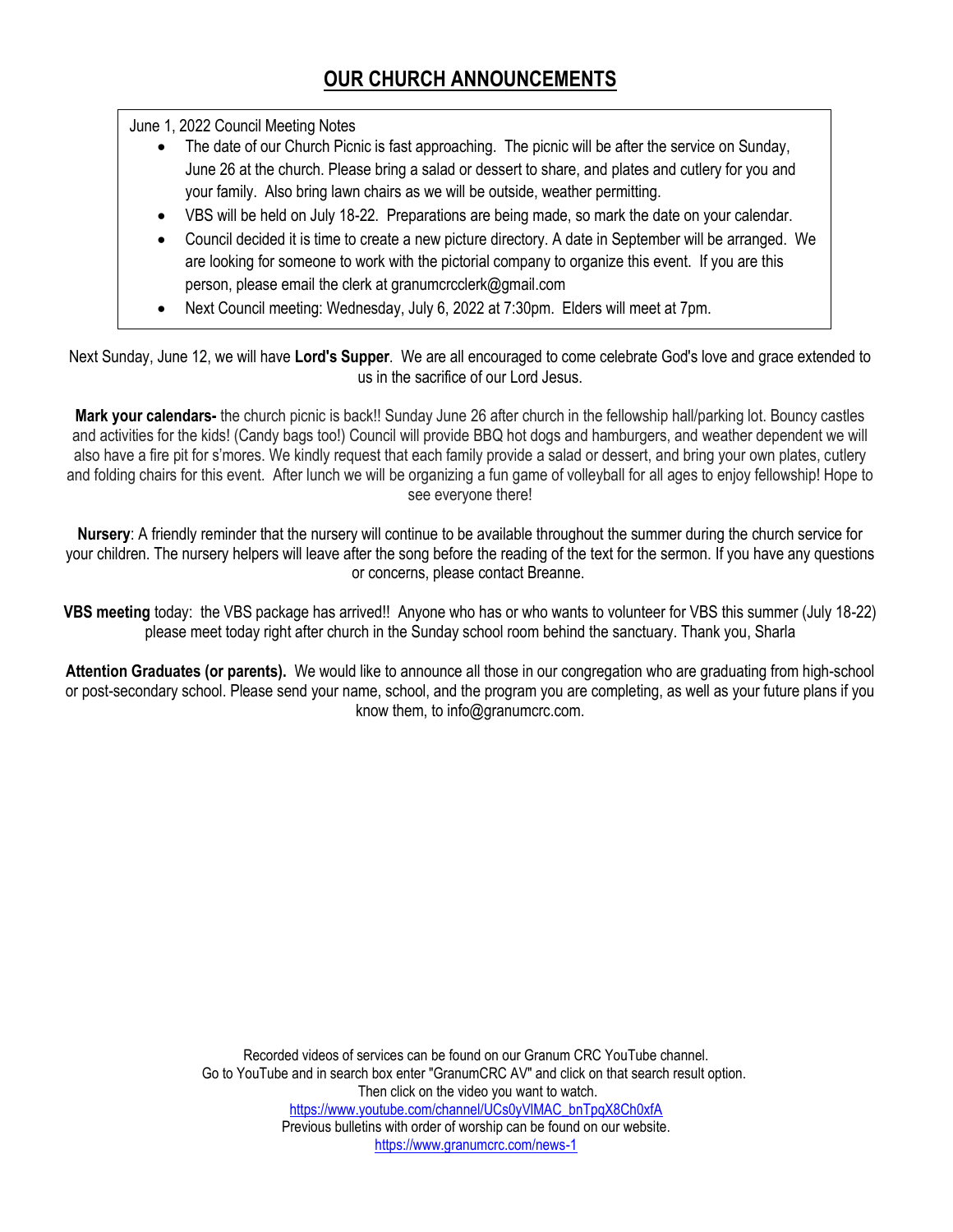June 1, 2022 Council Meeting Notes

- The date of our Church Picnic is fast approaching. The picnic will be after the service on Sunday, June 26 at the church. Please bring a salad or dessert to share, and plates and cutlery for you and your family. Also bring lawn chairs as we will be outside, weather permitting.
- VBS will be held on July 18-22. Preparations are being made, so mark the date on your calendar.
- Council decided it is time to create a new picture directory. A date in September will be arranged. We are looking for someone to work with the pictorial company to organize this event. If you are this person, please email the clerk at granumcrcclerk@gmail.com
- Next Council meeting: Wednesday, July 6, 2022 at 7:30pm. Elders will meet at 7pm.

Next Sunday, June 12, we will have **Lord's Supper**. We are all encouraged to come celebrate God's love and grace extended to us in the sacrifice of our Lord Jesus.

**Mark your calendars-** the church picnic is back!! Sunday June 26 after church in the fellowship hall/parking lot. Bouncy castles and activities for the kids! (Candy bags too!) Council will provide BBQ hot dogs and hamburgers, and weather dependent we will also have a fire pit for s'mores. We kindly request that each family provide a salad or dessert, and bring your own plates, cutlery and folding chairs for this event. After lunch we will be organizing a fun game of volleyball for all ages to enjoy fellowship! Hope to see everyone there!

**Nursery**: A friendly reminder that the nursery will continue to be available throughout the summer during the church service for your children. The nursery helpers will leave after the song before the reading of the text for the sermon. If you have any questions or concerns, please contact Breanne.

**VBS meeting** today: the VBS package has arrived!! Anyone who has or who wants to volunteer for VBS this summer (July 18-22) please meet today right after church in the Sunday school room behind the sanctuary. Thank you, Sharla

**Attention Graduates (or parents).** We would like to announce all those in our congregation who are graduating from high-school or post-secondary school. Please send your name, school, and the program you are completing, as well as your future plans if you know them, to info@granumcrc.com.

> Recorded videos of services can be found on our Granum CRC YouTube channel. Go to YouTube and in search box enter "GranumCRC AV" and click on that search result option. Then click on the video you want to watch. [https://www.youtube.com/channel/UCs0yVlMAC\\_bnTpqX8Ch0xfA](https://www.youtube.com/channel/UCs0yVlMAC_bnTpqX8Ch0xfA) Previous bulletins with order of worship can be found on our website. <https://www.granumcrc.com/news-1>